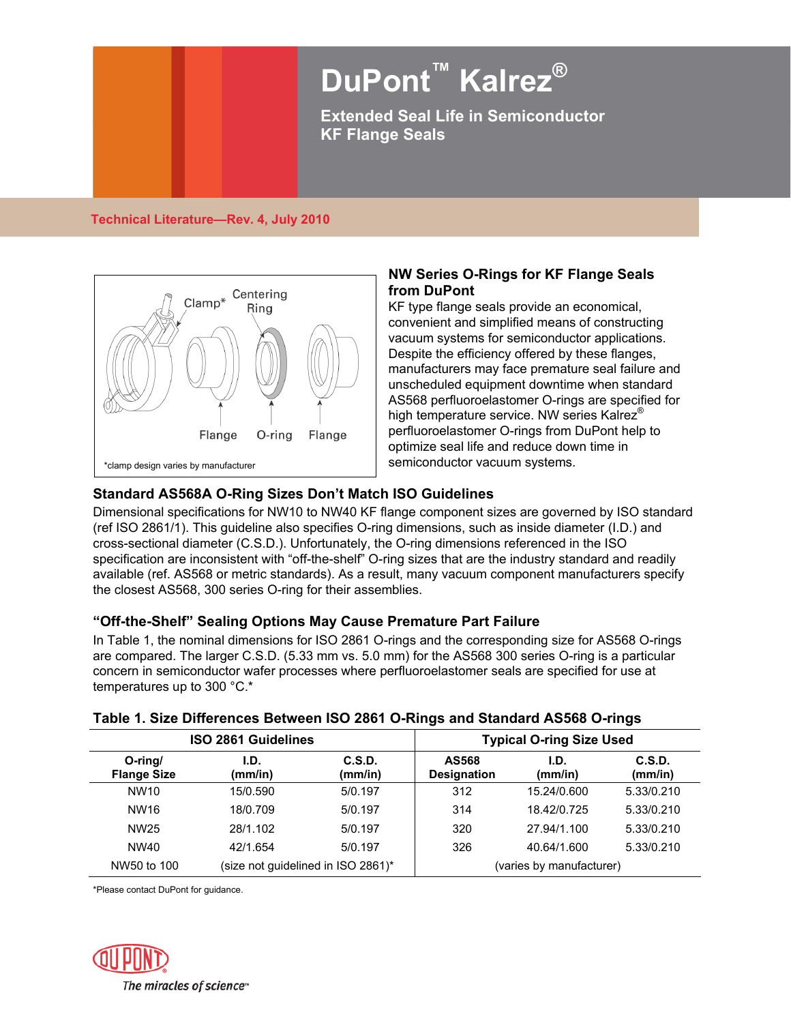# **DuPont™ Kalrez® Extended Seal Life in Semiconductor**

**KF Flange Seals** 

## **Technical Literature—Rev. 4, July 2010**



## **NW Series O-Rings for KF Flange Seals from DuPont**

KF type flange seals provide an economical, convenient and simplified means of constructing vacuum systems for semiconductor applications. Despite the efficiency offered by these flanges, manufacturers may face premature seal failure and unscheduled equipment downtime when standard AS568 perfluoroelastomer O-rings are specified for high temperature service. NW series Kalrez<sup>®</sup> perfluoroelastomer O-rings from DuPont help to optimize seal life and reduce down time in semiconductor vacuum systems.

## **Standard AS568A O-Ring Sizes Don't Match ISO Guidelines**

Dimensional specifications for NW10 to NW40 KF flange component sizes are governed by ISO standard (ref ISO 2861/1). This guideline also specifies O-ring dimensions, such as inside diameter (I.D.) and cross-sectional diameter (C.S.D.). Unfortunately, the O-ring dimensions referenced in the ISO specification are inconsistent with "off-the-shelf" O-ring sizes that are the industry standard and readily available (ref. AS568 or metric standards). As a result, many vacuum component manufacturers specify the closest AS568, 300 series O-ring for their assemblies.

## **"Off-the-Shelf" Sealing Options May Cause Premature Part Failure**

In Table 1, the nominal dimensions for ISO 2861 O-rings and the corresponding size for AS568 O-rings are compared. The larger C.S.D. (5.33 mm vs. 5.0 mm) for the AS568 300 series O-ring is a particular concern in semiconductor wafer processes where perfluoroelastomer seals are specified for use at temperatures up to 300 °C.\*

## **Table 1. Size Differences Between ISO 2861 O-Rings and Standard AS568 O-rings**

| <b>ISO 2861 Guidelines</b>       |                                    |                   | <b>Typical O-ring Size Used</b> |                 |                   |
|----------------------------------|------------------------------------|-------------------|---------------------------------|-----------------|-------------------|
| $O$ -ring/<br><b>Flange Size</b> | I.D.<br>(mm/in)                    | C.S.D.<br>(mm/in) | AS568<br><b>Designation</b>     | I.D.<br>(mm/in) | C.S.D.<br>(mm/in) |
| NW <sub>10</sub>                 | 15/0.590                           | 5/0.197           | 312                             | 15.24/0.600     | 5.33/0.210        |
| NW16                             | 18/0.709                           | 5/0.197           | 314                             | 18.42/0.725     | 5.33/0.210        |
| NW25                             | 28/1.102                           | 5/0.197           | 320                             | 27.94/1.100     | 5.33/0.210        |
| NW40                             | 42/1.654                           | 5/0.197           | 326                             | 40.64/1.600     | 5.33/0.210        |
| NW50 to 100                      | (size not guidelined in ISO 2861)* |                   | (varies by manufacturer)        |                 |                   |

\*Please contact DuPont for guidance.